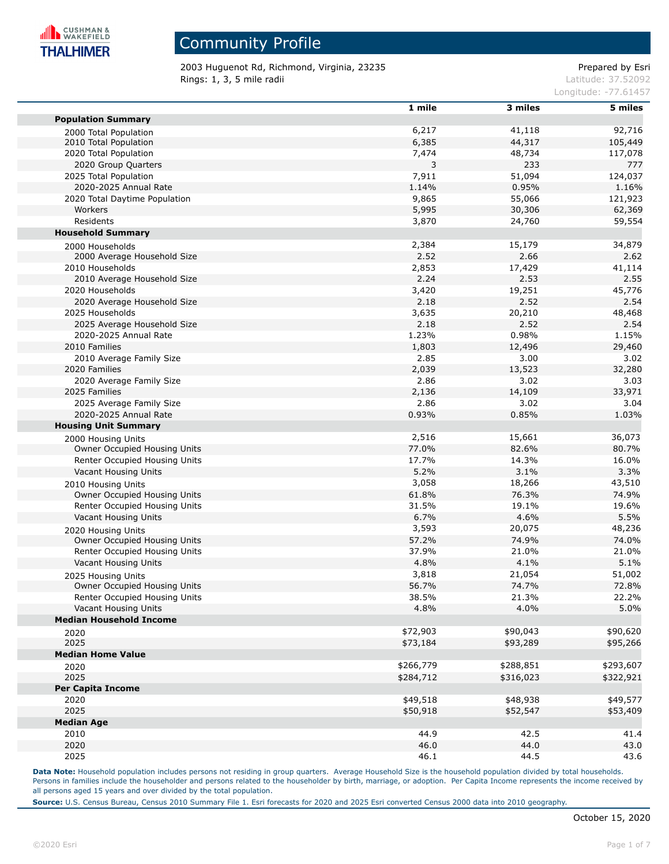

2003 Huguenot Rd, Richmond, Virginia, 23235 extending the part of the Prepared by Esri **Rings: 1, 3, 5 mile radii** Latitude: 37.52092

Longitude: -77.61457

|                                | 1 mile        | 3 miles   | 5 miles   |
|--------------------------------|---------------|-----------|-----------|
| <b>Population Summary</b>      |               |           |           |
| 2000 Total Population          | 6,217         | 41,118    | 92,716    |
| 2010 Total Population          | 6,385         | 44,317    | 105,449   |
| 2020 Total Population          | 7,474         | 48,734    | 117,078   |
| 2020 Group Quarters            | 3             | 233       | 777       |
| 2025 Total Population          | 7,911         | 51,094    | 124,037   |
| 2020-2025 Annual Rate          | 1.14%         | 0.95%     | 1.16%     |
| 2020 Total Daytime Population  | 9,865         | 55,066    | 121,923   |
| Workers                        | 5,995         | 30,306    | 62,369    |
| Residents                      | 3,870         | 24,760    | 59,554    |
| <b>Household Summary</b>       |               |           |           |
| 2000 Households                | 2,384         | 15,179    | 34,879    |
| 2000 Average Household Size    | 2.52          | 2.66      | 2.62      |
| 2010 Households                | 2,853         | 17,429    | 41,114    |
| 2010 Average Household Size    | 2.24          | 2.53      | 2.55      |
| 2020 Households                | 3,420         | 19,251    | 45,776    |
| 2020 Average Household Size    | 2.18          | 2.52      | 2.54      |
| 2025 Households                | 3,635         | 20,210    | 48,468    |
| 2025 Average Household Size    | 2.18          | 2.52      | 2.54      |
| 2020-2025 Annual Rate          | 1.23%         | 0.98%     | 1.15%     |
| 2010 Families                  | 1,803         | 12,496    | 29,460    |
|                                | 2.85          | 3.00      | 3.02      |
| 2010 Average Family Size       |               | 13,523    |           |
| 2020 Families                  | 2,039<br>2.86 |           | 32,280    |
| 2020 Average Family Size       |               | 3.02      | 3.03      |
| 2025 Families                  | 2,136         | 14,109    | 33,971    |
| 2025 Average Family Size       | 2.86          | 3.02      | 3.04      |
| 2020-2025 Annual Rate          | 0.93%         | 0.85%     | 1.03%     |
| <b>Housing Unit Summary</b>    |               |           |           |
| 2000 Housing Units             | 2,516         | 15,661    | 36,073    |
| Owner Occupied Housing Units   | 77.0%         | 82.6%     | 80.7%     |
| Renter Occupied Housing Units  | 17.7%         | 14.3%     | 16.0%     |
| Vacant Housing Units           | 5.2%          | 3.1%      | 3.3%      |
| 2010 Housing Units             | 3,058         | 18,266    | 43,510    |
| Owner Occupied Housing Units   | 61.8%         | 76.3%     | 74.9%     |
| Renter Occupied Housing Units  | 31.5%         | 19.1%     | 19.6%     |
| Vacant Housing Units           | 6.7%          | 4.6%      | 5.5%      |
| 2020 Housing Units             | 3,593         | 20,075    | 48,236    |
| Owner Occupied Housing Units   | 57.2%         | 74.9%     | 74.0%     |
| Renter Occupied Housing Units  | 37.9%         | 21.0%     | 21.0%     |
| Vacant Housing Units           | 4.8%          | 4.1%      | 5.1%      |
| 2025 Housing Units             | 3,818         | 21,054    | 51,002    |
| Owner Occupied Housing Units   | 56.7%         | 74.7%     | 72.8%     |
| Renter Occupied Housing Units  | 38.5%         | 21.3%     | 22.2%     |
| Vacant Housing Units           | 4.8%          | 4.0%      | 5.0%      |
| <b>Median Household Income</b> |               |           |           |
| 2020                           | \$72,903      | \$90,043  | \$90,620  |
| 2025                           | \$73,184      | \$93,289  | \$95,266  |
| <b>Median Home Value</b>       |               |           |           |
| 2020                           | \$266,779     | \$288,851 | \$293,607 |
| 2025                           | \$284,712     | \$316,023 | \$322,921 |
| Per Capita Income              |               |           |           |
| 2020                           | \$49,518      | \$48,938  | \$49,577  |
| 2025                           | \$50,918      | \$52,547  | \$53,409  |
| <b>Median Age</b>              |               |           |           |
| 2010                           | 44.9          | 42.5      | 41.4      |
| 2020                           | 46.0          | 44.0      | 43.0      |
| 2025                           | 46.1          | 44.5      | 43.6      |
|                                |               |           |           |

Data Note: Household population includes persons not residing in group quarters. Average Household Size is the household population divided by total households. Persons in families include the householder and persons related to the householder by birth, marriage, or adoption. Per Capita Income represents the income received by all persons aged 15 years and over divided by the total population.

**Source:** U.S. Census Bureau, Census 2010 Summary File 1. Esri forecasts for 2020 and 2025 Esri converted Census 2000 data into 2010 geography.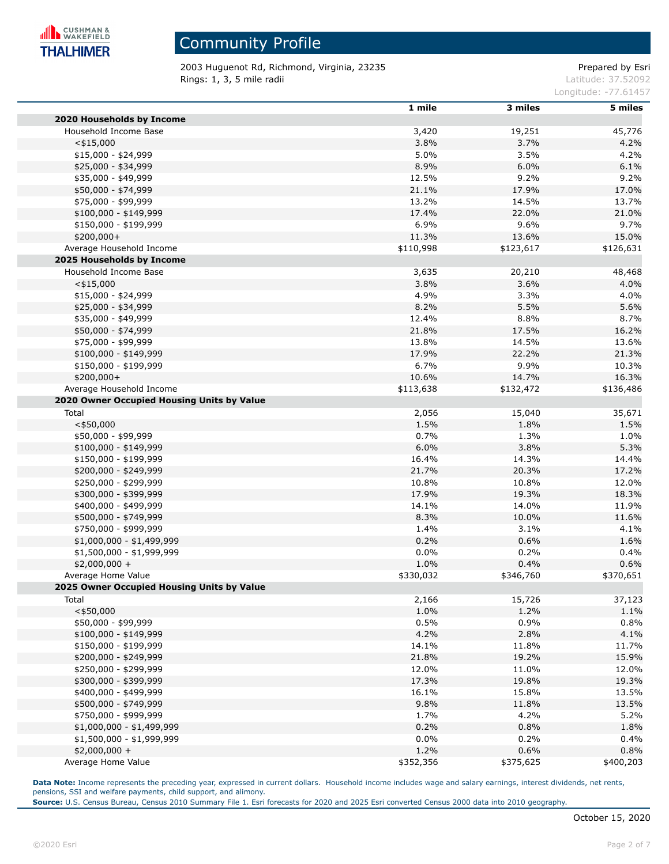

2003 Huguenot Rd, Richmond, Virginia, 23235 extending the part of the Prepared by Esri **Rings: 1, 3, 5 mile radii** Latitude: 37.52092

Longitude: -77.61457

|                                            | 1 mile    | 3 miles   | 5 miles   |
|--------------------------------------------|-----------|-----------|-----------|
| 2020 Households by Income                  |           |           |           |
| Household Income Base                      | 3,420     | 19,251    | 45,776    |
| $<$ \$15,000                               | 3.8%      | 3.7%      | 4.2%      |
| $$15,000 - $24,999$                        | 5.0%      | 3.5%      | 4.2%      |
| \$25,000 - \$34,999                        | 8.9%      | 6.0%      | 6.1%      |
| \$35,000 - \$49,999                        | 12.5%     | 9.2%      | 9.2%      |
| \$50,000 - \$74,999                        | 21.1%     | 17.9%     | 17.0%     |
| \$75,000 - \$99,999                        | 13.2%     | 14.5%     | 13.7%     |
| $$100,000 - $149,999$                      | 17.4%     | 22.0%     | 21.0%     |
| \$150,000 - \$199,999                      | 6.9%      | 9.6%      | 9.7%      |
| $$200,000+$                                | 11.3%     | 13.6%     | 15.0%     |
| Average Household Income                   | \$110,998 | \$123,617 | \$126,631 |
| 2025 Households by Income                  |           |           |           |
| Household Income Base                      | 3,635     | 20,210    | 48,468    |
| $<$ \$15,000                               | 3.8%      | 3.6%      | 4.0%      |
| \$15,000 - \$24,999                        | 4.9%      | 3.3%      | 4.0%      |
| \$25,000 - \$34,999                        | 8.2%      | 5.5%      | 5.6%      |
| \$35,000 - \$49,999                        | 12.4%     | 8.8%      | 8.7%      |
| \$50,000 - \$74,999                        | 21.8%     | 17.5%     | 16.2%     |
| \$75,000 - \$99,999                        | 13.8%     | 14.5%     | 13.6%     |
| \$100,000 - \$149,999                      | 17.9%     | 22.2%     | 21.3%     |
|                                            | 6.7%      | 9.9%      |           |
| \$150,000 - \$199,999                      |           |           | 10.3%     |
| \$200,000+                                 | 10.6%     | 14.7%     | 16.3%     |
| Average Household Income                   | \$113,638 | \$132,472 | \$136,486 |
| 2020 Owner Occupied Housing Units by Value |           |           |           |
| Total                                      | 2,056     | 15,040    | 35,671    |
| $<$ \$50,000                               | 1.5%      | 1.8%      | 1.5%      |
| \$50,000 - \$99,999                        | 0.7%      | 1.3%      | 1.0%      |
| $$100,000 - $149,999$                      | 6.0%      | 3.8%      | 5.3%      |
| \$150,000 - \$199,999                      | 16.4%     | 14.3%     | 14.4%     |
| \$200,000 - \$249,999                      | 21.7%     | 20.3%     | 17.2%     |
| \$250,000 - \$299,999                      | 10.8%     | 10.8%     | 12.0%     |
| \$300,000 - \$399,999                      | 17.9%     | 19.3%     | 18.3%     |
| \$400,000 - \$499,999                      | 14.1%     | 14.0%     | 11.9%     |
| \$500,000 - \$749,999                      | 8.3%      | 10.0%     | 11.6%     |
| \$750,000 - \$999,999                      | 1.4%      | 3.1%      | 4.1%      |
| \$1,000,000 - \$1,499,999                  | 0.2%      | 0.6%      | 1.6%      |
| \$1,500,000 - \$1,999,999                  | 0.0%      | 0.2%      | 0.4%      |
| $$2,000,000 +$                             | 1.0%      | 0.4%      | 0.6%      |
| Average Home Value                         | \$330,032 | \$346,760 | \$370,651 |
| 2025 Owner Occupied Housing Units by Value |           |           |           |
| Total                                      | 2,166     | 15,726    | 37,123    |
| $<$ \$50,000                               | 1.0%      | 1.2%      | 1.1%      |
| \$50,000 - \$99,999                        | 0.5%      | 0.9%      | 0.8%      |
| $$100,000 - $149,999$                      | 4.2%      | 2.8%      | 4.1%      |
| \$150,000 - \$199,999                      | 14.1%     | 11.8%     | 11.7%     |
| \$200,000 - \$249,999                      | 21.8%     | 19.2%     | 15.9%     |
| \$250,000 - \$299,999                      | 12.0%     | 11.0%     | 12.0%     |
| \$300,000 - \$399,999                      | 17.3%     | 19.8%     | 19.3%     |
| \$400,000 - \$499,999                      | 16.1%     | 15.8%     | 13.5%     |
| \$500,000 - \$749,999                      | 9.8%      | 11.8%     | 13.5%     |
| \$750,000 - \$999,999                      | 1.7%      | 4.2%      | 5.2%      |
| \$1,000,000 - \$1,499,999                  | 0.2%      | 0.8%      | 1.8%      |
| $$1,500,000 - $1,999,999$                  | $0.0\%$   | 0.2%      | 0.4%      |
| $$2,000,000 +$                             | 1.2%      | 0.6%      | 0.8%      |
| Average Home Value                         | \$352,356 | \$375,625 | \$400,203 |

**Data Note:** Income represents the preceding year, expressed in current dollars. Household income includes wage and salary earnings, interest dividends, net rents, pensions, SSI and welfare payments, child support, and alimony.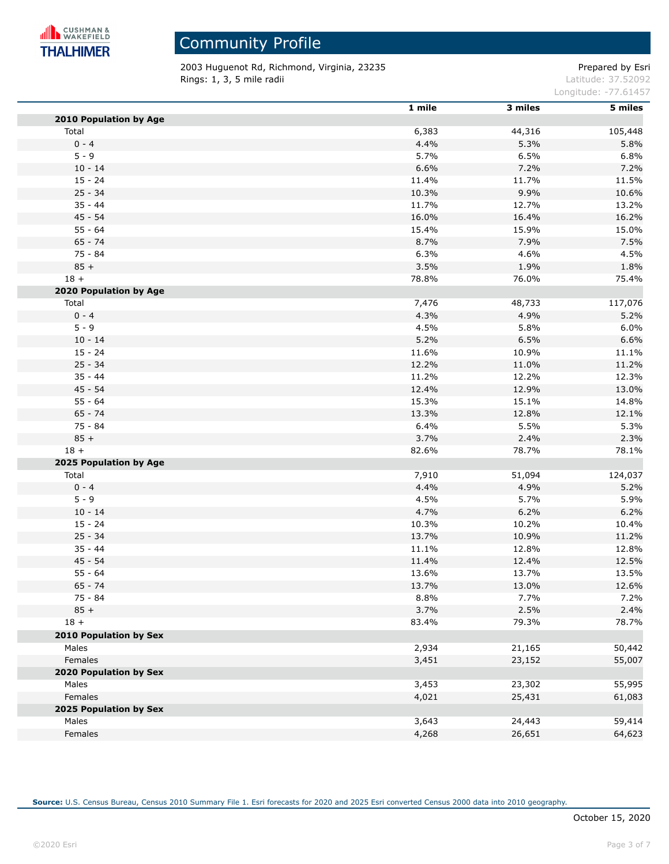

2003 Huguenot Rd, Richmond, Virginia, 23235 extending the prepared by Esri **Rings: 1, 3, 5 mile radii** Latitude: 37.52092

Longitude: -77.61457

|                        | 1 mile | 3 miles | 5 miles |
|------------------------|--------|---------|---------|
| 2010 Population by Age |        |         |         |
| Total                  | 6,383  | 44,316  | 105,448 |
| $0 - 4$                | 4.4%   | 5.3%    | 5.8%    |
| $5 - 9$                | 5.7%   | 6.5%    | 6.8%    |
| $10 - 14$              | 6.6%   | 7.2%    | 7.2%    |
| $15 - 24$              | 11.4%  | 11.7%   | 11.5%   |
| $25 - 34$              | 10.3%  | 9.9%    | 10.6%   |
| $35 - 44$              | 11.7%  | 12.7%   | 13.2%   |
| 45 - 54                | 16.0%  | 16.4%   | 16.2%   |
| $55 - 64$              | 15.4%  | 15.9%   | 15.0%   |
| $65 - 74$              | 8.7%   | 7.9%    | 7.5%    |
| $75 - 84$              | 6.3%   | 4.6%    | 4.5%    |
| $85 +$                 | 3.5%   | 1.9%    | 1.8%    |
| $18 +$                 | 78.8%  | 76.0%   | 75.4%   |
| 2020 Population by Age |        |         |         |
| Total                  | 7,476  | 48,733  | 117,076 |
| $0 - 4$                | 4.3%   | 4.9%    | 5.2%    |
| $5 - 9$                | 4.5%   | 5.8%    | 6.0%    |
| $10 - 14$              | 5.2%   | 6.5%    | 6.6%    |
| $15 - 24$              | 11.6%  | 10.9%   | 11.1%   |
| $25 - 34$              | 12.2%  | 11.0%   | 11.2%   |
| $35 - 44$              | 11.2%  | 12.2%   | 12.3%   |
| 45 - 54                | 12.4%  | 12.9%   | 13.0%   |
| $55 - 64$              | 15.3%  | 15.1%   | 14.8%   |
| $65 - 74$              | 13.3%  | 12.8%   | 12.1%   |
| $75 - 84$              | 6.4%   | 5.5%    | 5.3%    |
| $85 +$                 | 3.7%   | 2.4%    | 2.3%    |
| $18 +$                 | 82.6%  | 78.7%   | 78.1%   |
| 2025 Population by Age |        |         |         |
| Total                  | 7,910  | 51,094  | 124,037 |
| $0 - 4$                | 4.4%   | 4.9%    | 5.2%    |
| $5 - 9$                | 4.5%   | 5.7%    | 5.9%    |
| $10 - 14$              | 4.7%   | 6.2%    | 6.2%    |
| $15 - 24$              | 10.3%  | 10.2%   | 10.4%   |
| $25 - 34$              | 13.7%  | 10.9%   | 11.2%   |
| $35 - 44$              | 11.1%  | 12.8%   | 12.8%   |
| 45 - 54                | 11.4%  | 12.4%   | 12.5%   |
| $55 - 64$              | 13.6%  | 13.7%   | 13.5%   |
| $65 - 74$              | 13.7%  | 13.0%   | 12.6%   |
| 75 - 84                | 8.8%   | 7.7%    | 7.2%    |
| $85 +$                 | 3.7%   | 2.5%    | 2.4%    |
| $18 +$                 | 83.4%  | 79.3%   | 78.7%   |
| 2010 Population by Sex |        |         |         |
| Males                  | 2,934  | 21,165  | 50,442  |
| Females                | 3,451  | 23,152  | 55,007  |
| 2020 Population by Sex |        |         |         |
| Males                  | 3,453  | 23,302  | 55,995  |
| Females                | 4,021  | 25,431  | 61,083  |
| 2025 Population by Sex |        |         |         |
| Males                  | 3,643  | 24,443  | 59,414  |
| Females                | 4,268  | 26,651  | 64,623  |
|                        |        |         |         |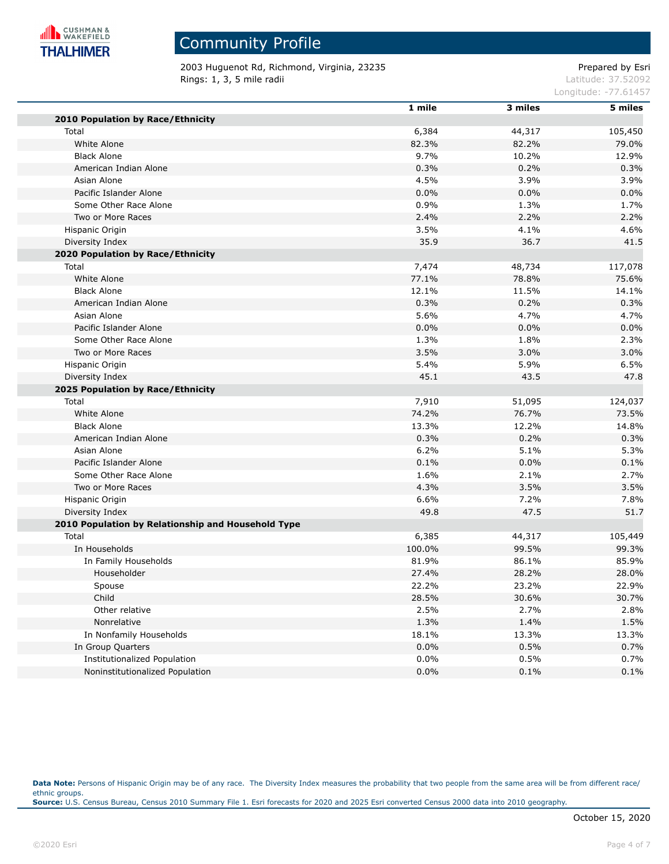

### Community Profile

2003 Huguenot Rd, Richmond, Virginia, 23235 extending the part of the Prepared by Esri **Rings: 1, 3, 5 mile radii** Latitude: 37.52092

Longitude: -77.61457

|                                                    | 1 mile  | 3 miles | 5 miles |
|----------------------------------------------------|---------|---------|---------|
| 2010 Population by Race/Ethnicity                  |         |         |         |
| Total                                              | 6,384   | 44,317  | 105,450 |
| White Alone                                        | 82.3%   | 82.2%   | 79.0%   |
| <b>Black Alone</b>                                 | 9.7%    | 10.2%   | 12.9%   |
| American Indian Alone                              | 0.3%    | 0.2%    | 0.3%    |
| Asian Alone                                        | 4.5%    | 3.9%    | 3.9%    |
| Pacific Islander Alone                             | 0.0%    | 0.0%    | 0.0%    |
| Some Other Race Alone                              | 0.9%    | 1.3%    | 1.7%    |
| Two or More Races                                  | 2.4%    | 2.2%    | 2.2%    |
| Hispanic Origin                                    | 3.5%    | 4.1%    | 4.6%    |
| Diversity Index                                    | 35.9    | 36.7    | 41.5    |
| 2020 Population by Race/Ethnicity                  |         |         |         |
| Total                                              | 7,474   | 48,734  | 117,078 |
| White Alone                                        | 77.1%   | 78.8%   | 75.6%   |
| <b>Black Alone</b>                                 | 12.1%   | 11.5%   | 14.1%   |
| American Indian Alone                              | 0.3%    | 0.2%    | 0.3%    |
| Asian Alone                                        | 5.6%    | 4.7%    | 4.7%    |
| Pacific Islander Alone                             | 0.0%    | 0.0%    | 0.0%    |
| Some Other Race Alone                              | 1.3%    | 1.8%    | 2.3%    |
| Two or More Races                                  | 3.5%    | 3.0%    | 3.0%    |
| Hispanic Origin                                    | 5.4%    | 5.9%    | 6.5%    |
| Diversity Index                                    | 45.1    | 43.5    | 47.8    |
| 2025 Population by Race/Ethnicity                  |         |         |         |
| Total                                              | 7,910   | 51,095  | 124,037 |
| White Alone                                        | 74.2%   | 76.7%   | 73.5%   |
| <b>Black Alone</b>                                 | 13.3%   | 12.2%   | 14.8%   |
| American Indian Alone                              | 0.3%    | 0.2%    | 0.3%    |
| Asian Alone                                        | 6.2%    | 5.1%    | 5.3%    |
| Pacific Islander Alone                             | 0.1%    | 0.0%    | 0.1%    |
| Some Other Race Alone                              | 1.6%    | 2.1%    | 2.7%    |
| Two or More Races                                  | 4.3%    | 3.5%    | 3.5%    |
| Hispanic Origin                                    | 6.6%    | 7.2%    | 7.8%    |
| Diversity Index                                    | 49.8    | 47.5    | 51.7    |
| 2010 Population by Relationship and Household Type |         |         |         |
| Total                                              | 6,385   | 44,317  | 105,449 |
| In Households                                      | 100.0%  | 99.5%   | 99.3%   |
| In Family Households                               | 81.9%   | 86.1%   | 85.9%   |
| Householder                                        | 27.4%   | 28.2%   | 28.0%   |
| Spouse                                             | 22.2%   | 23.2%   | 22.9%   |
| Child                                              | 28.5%   | 30.6%   | 30.7%   |
| Other relative                                     | 2.5%    | 2.7%    | 2.8%    |
| Nonrelative                                        | 1.3%    | 1.4%    | 1.5%    |
| In Nonfamily Households                            | 18.1%   | 13.3%   | 13.3%   |
| In Group Quarters                                  | 0.0%    | 0.5%    | 0.7%    |
| Institutionalized Population                       | $0.0\%$ | 0.5%    | 0.7%    |
| Noninstitutionalized Population                    | 0.0%    | 0.1%    | 0.1%    |

Data Note: Persons of Hispanic Origin may be of any race. The Diversity Index measures the probability that two people from the same area will be from different race/ ethnic groups. **Source:** U.S. Census Bureau, Census 2010 Summary File 1. Esri forecasts for 2020 and 2025 Esri converted Census 2000 data into 2010 geography.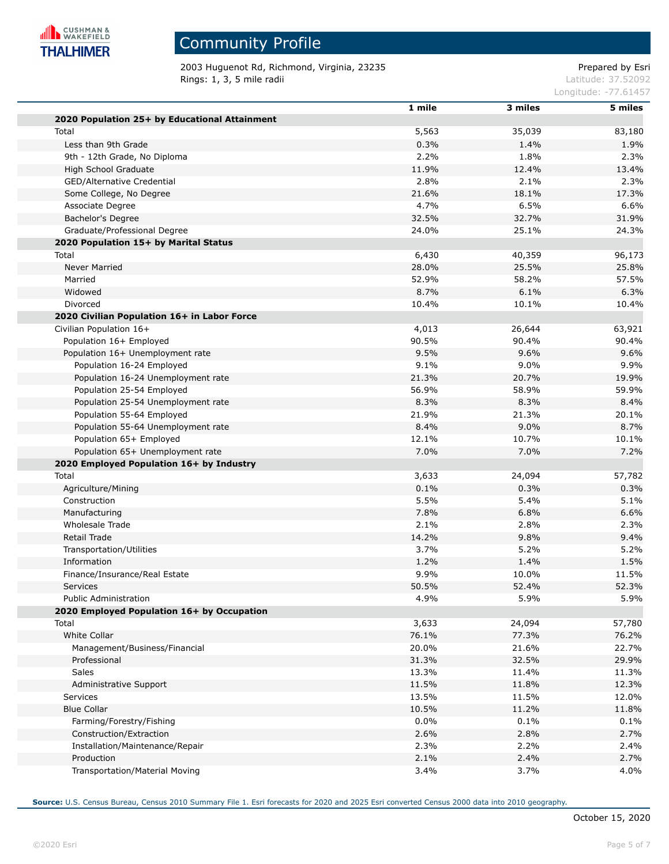

2003 Huguenot Rd, Richmond, Virginia, 23235 extending the prepared by Esri **Rings: 1, 3, 5 mile radii** Latitude: 37.52092

Longitude: -77.61457

|                                               | 1 mile | 3 miles | 5 miles |
|-----------------------------------------------|--------|---------|---------|
| 2020 Population 25+ by Educational Attainment |        |         |         |
| Total                                         | 5,563  | 35,039  | 83,180  |
| Less than 9th Grade                           | 0.3%   | 1.4%    | 1.9%    |
| 9th - 12th Grade, No Diploma                  | 2.2%   | 1.8%    | 2.3%    |
| High School Graduate                          | 11.9%  | 12.4%   | 13.4%   |
| GED/Alternative Credential                    | 2.8%   | 2.1%    | 2.3%    |
| Some College, No Degree                       | 21.6%  | 18.1%   | 17.3%   |
| Associate Degree                              | 4.7%   | 6.5%    | 6.6%    |
| Bachelor's Degree                             | 32.5%  | 32.7%   | 31.9%   |
| Graduate/Professional Degree                  | 24.0%  | 25.1%   | 24.3%   |
| 2020 Population 15+ by Marital Status         |        |         |         |
| Total                                         | 6,430  | 40,359  | 96,173  |
| Never Married                                 | 28.0%  | 25.5%   | 25.8%   |
| Married                                       | 52.9%  | 58.2%   | 57.5%   |
| Widowed                                       | 8.7%   | 6.1%    | 6.3%    |
| Divorced                                      | 10.4%  | 10.1%   | 10.4%   |
| 2020 Civilian Population 16+ in Labor Force   |        |         |         |
| Civilian Population 16+                       | 4,013  | 26,644  | 63,921  |
| Population 16+ Employed                       | 90.5%  | 90.4%   | 90.4%   |
| Population 16+ Unemployment rate              | 9.5%   | 9.6%    | 9.6%    |
| Population 16-24 Employed                     | 9.1%   | $9.0\%$ | 9.9%    |
| Population 16-24 Unemployment rate            | 21.3%  | 20.7%   | 19.9%   |
| Population 25-54 Employed                     | 56.9%  | 58.9%   | 59.9%   |
| Population 25-54 Unemployment rate            | 8.3%   | 8.3%    | 8.4%    |
| Population 55-64 Employed                     | 21.9%  | 21.3%   | 20.1%   |
| Population 55-64 Unemployment rate            | 8.4%   | 9.0%    | 8.7%    |
| Population 65+ Employed                       | 12.1%  | 10.7%   | 10.1%   |
| Population 65+ Unemployment rate              | 7.0%   | 7.0%    | 7.2%    |
| 2020 Employed Population 16+ by Industry      |        |         |         |
| Total                                         | 3,633  | 24,094  | 57,782  |
| Agriculture/Mining                            | 0.1%   | 0.3%    | 0.3%    |
| Construction                                  | 5.5%   | 5.4%    | 5.1%    |
| Manufacturing                                 | 7.8%   | 6.8%    | 6.6%    |
| Wholesale Trade                               | 2.1%   | 2.8%    | 2.3%    |
| Retail Trade                                  | 14.2%  | 9.8%    | 9.4%    |
| Transportation/Utilities                      | 3.7%   | 5.2%    | 5.2%    |
| Information                                   | 1.2%   | 1.4%    | 1.5%    |
| Finance/Insurance/Real Estate                 | 9.9%   | 10.0%   | 11.5%   |
| Services                                      | 50.5%  | 52.4%   | 52.3%   |
| <b>Public Administration</b>                  | 4.9%   | 5.9%    | 5.9%    |
| 2020 Employed Population 16+ by Occupation    |        |         |         |
| Total                                         | 3,633  | 24,094  | 57,780  |
| White Collar                                  | 76.1%  | 77.3%   | 76.2%   |
| Management/Business/Financial                 | 20.0%  | 21.6%   | 22.7%   |
| Professional                                  | 31.3%  | 32.5%   | 29.9%   |
| Sales                                         | 13.3%  | 11.4%   | 11.3%   |
| Administrative Support                        | 11.5%  | 11.8%   | 12.3%   |
| Services                                      | 13.5%  | 11.5%   | 12.0%   |
| <b>Blue Collar</b>                            | 10.5%  | 11.2%   | 11.8%   |
| Farming/Forestry/Fishing                      | 0.0%   | 0.1%    | 0.1%    |
| Construction/Extraction                       | 2.6%   | 2.8%    | 2.7%    |
| Installation/Maintenance/Repair               | 2.3%   | 2.2%    | 2.4%    |
| Production                                    | 2.1%   | 2.4%    | 2.7%    |
| Transportation/Material Moving                | 3.4%   | 3.7%    | 4.0%    |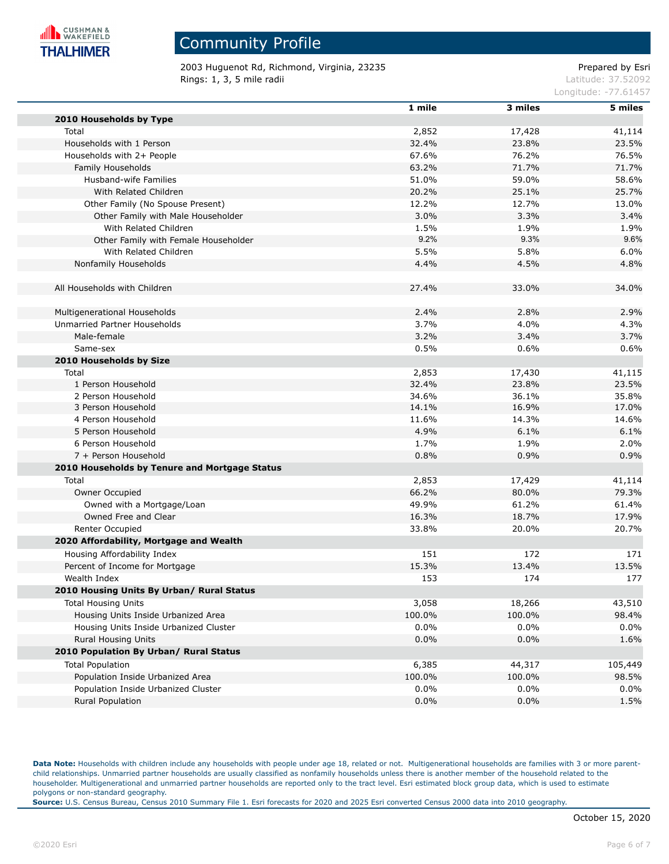

2003 Huguenot Rd, Richmond, Virginia, 23235 extending the part of the Prepared by Esri **Rings: 1, 3, 5 mile radii** Latitude: 37.52092

Longitude: -77.61457

|                                               | 1 mile  | 3 miles | 5 miles |
|-----------------------------------------------|---------|---------|---------|
| 2010 Households by Type                       |         |         |         |
| Total                                         | 2,852   | 17,428  | 41,114  |
| Households with 1 Person                      | 32.4%   | 23.8%   | 23.5%   |
| Households with 2+ People                     | 67.6%   | 76.2%   | 76.5%   |
| Family Households                             | 63.2%   | 71.7%   | 71.7%   |
| Husband-wife Families                         | 51.0%   | 59.0%   | 58.6%   |
| With Related Children                         | 20.2%   | 25.1%   | 25.7%   |
| Other Family (No Spouse Present)              | 12.2%   | 12.7%   | 13.0%   |
| Other Family with Male Householder            | 3.0%    | 3.3%    | 3.4%    |
| With Related Children                         | 1.5%    | 1.9%    | 1.9%    |
| Other Family with Female Householder          | 9.2%    | 9.3%    | 9.6%    |
| With Related Children                         | 5.5%    | 5.8%    | 6.0%    |
| Nonfamily Households                          | 4.4%    | 4.5%    | 4.8%    |
| All Households with Children                  | 27.4%   | 33.0%   | 34.0%   |
| Multigenerational Households                  | 2.4%    | 2.8%    | 2.9%    |
| Unmarried Partner Households                  | 3.7%    | 4.0%    | 4.3%    |
| Male-female                                   | 3.2%    | 3.4%    | 3.7%    |
| Same-sex                                      | 0.5%    | 0.6%    | 0.6%    |
| 2010 Households by Size                       |         |         |         |
| Total                                         | 2,853   | 17,430  | 41,115  |
| 1 Person Household                            | 32.4%   | 23.8%   | 23.5%   |
| 2 Person Household                            | 34.6%   | 36.1%   | 35.8%   |
| 3 Person Household                            | 14.1%   | 16.9%   | 17.0%   |
| 4 Person Household                            | 11.6%   | 14.3%   | 14.6%   |
| 5 Person Household                            | 4.9%    | 6.1%    | 6.1%    |
| 6 Person Household                            | 1.7%    | 1.9%    | 2.0%    |
| 7 + Person Household                          | 0.8%    | 0.9%    | 0.9%    |
| 2010 Households by Tenure and Mortgage Status |         |         |         |
| Total                                         | 2,853   | 17,429  | 41,114  |
| Owner Occupied                                | 66.2%   | 80.0%   | 79.3%   |
| Owned with a Mortgage/Loan                    | 49.9%   | 61.2%   | 61.4%   |
| Owned Free and Clear                          | 16.3%   | 18.7%   | 17.9%   |
| <b>Renter Occupied</b>                        | 33.8%   | 20.0%   | 20.7%   |
| 2020 Affordability, Mortgage and Wealth       |         |         |         |
| Housing Affordability Index                   | 151     | 172     | 171     |
| Percent of Income for Mortgage                | 15.3%   | 13.4%   | 13.5%   |
| Wealth Index                                  | 153     | 174     | 177     |
| 2010 Housing Units By Urban/ Rural Status     |         |         |         |
| <b>Total Housing Units</b>                    | 3,058   | 18,266  | 43,510  |
| Housing Units Inside Urbanized Area           | 100.0%  | 100.0%  | 98.4%   |
| Housing Units Inside Urbanized Cluster        | $0.0\%$ | 0.0%    | 0.0%    |
| <b>Rural Housing Units</b>                    | 0.0%    | 0.0%    | 1.6%    |
| 2010 Population By Urban/ Rural Status        |         |         |         |
| <b>Total Population</b>                       | 6,385   | 44,317  | 105,449 |
| Population Inside Urbanized Area              | 100.0%  | 100.0%  | 98.5%   |
| Population Inside Urbanized Cluster           | 0.0%    | 0.0%    | $0.0\%$ |
| Rural Population                              | 0.0%    | 0.0%    | 1.5%    |

Data Note: Households with children include any households with people under age 18, related or not. Multigenerational households are families with 3 or more parentchild relationships. Unmarried partner households are usually classified as nonfamily households unless there is another member of the household related to the householder. Multigenerational and unmarried partner households are reported only to the tract level. Esri estimated block group data, which is used to estimate polygons or non-standard geography.